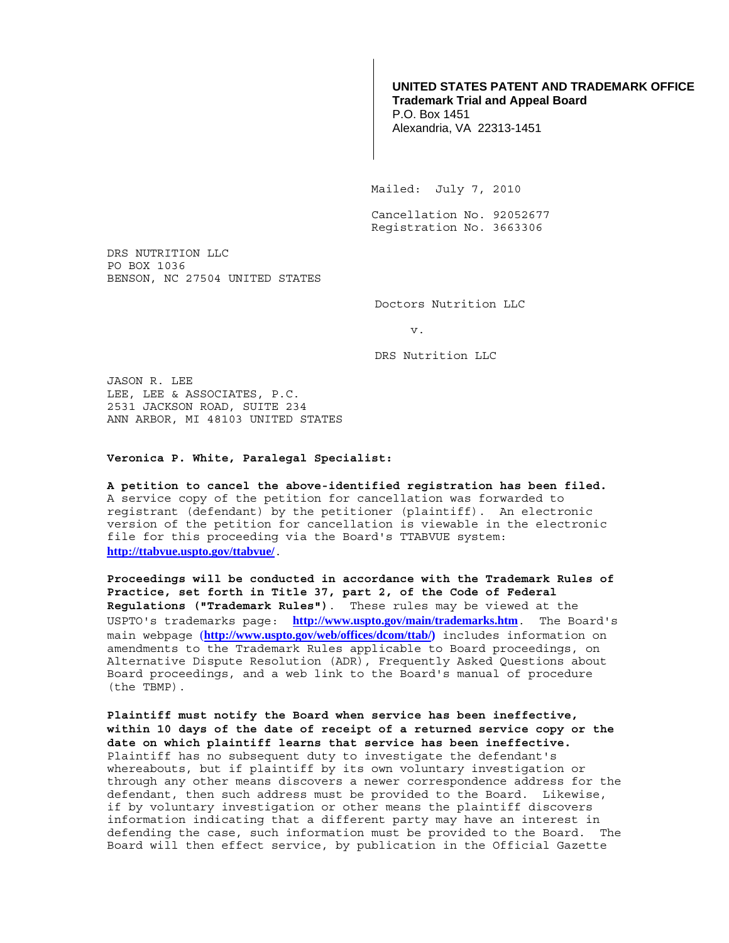## **UNITED STATES PATENT AND TRADEMARK OFFICE Trademark Trial and Appeal Board**

P.O. Box 1451 Alexandria, VA 22313-1451

Mailed: July 7, 2010

 Cancellation No. 92052677 Registration No. 3663306

DRS NUTRITION LLC PO BOX 1036 BENSON, NC 27504 UNITED STATES

Doctors Nutrition LLC

v.

DRS Nutrition LLC

JASON R. LEE LEE, LEE & ASSOCIATES, P.C. 2531 JACKSON ROAD, SUITE 234 ANN ARBOR, MI 48103 UNITED STATES

## **Veronica P. White, Paralegal Specialist:**

**A petition to cancel the above-identified registration has been filed.**  A service copy of the petition for cancellation was forwarded to registrant (defendant) by the petitioner (plaintiff). An electronic version of the petition for cancellation is viewable in the electronic file for this proceeding via the Board's TTABVUE system: **http://ttabvue.uspto.gov/ttabvue/**.

**Proceedings will be conducted in accordance with the Trademark Rules of Practice, set forth in Title 37, part 2, of the Code of Federal Regulations ("Trademark Rules")**. These rules may be viewed at the USPTO's trademarks page: **http://www.uspto.gov/main/trademarks.htm**. The Board's main webpage (**http://www.uspto.gov/web/offices/dcom/ttab/)** includes information on amendments to the Trademark Rules applicable to Board proceedings, on Alternative Dispute Resolution (ADR), Frequently Asked Questions about Board proceedings, and a web link to the Board's manual of procedure (the TBMP).

**Plaintiff must notify the Board when service has been ineffective, within 10 days of the date of receipt of a returned service copy or the date on which plaintiff learns that service has been ineffective.** Plaintiff has no subsequent duty to investigate the defendant's whereabouts, but if plaintiff by its own voluntary investigation or through any other means discovers a newer correspondence address for the defendant, then such address must be provided to the Board. Likewise, if by voluntary investigation or other means the plaintiff discovers information indicating that a different party may have an interest in defending the case, such information must be provided to the Board. The Board will then effect service, by publication in the Official Gazette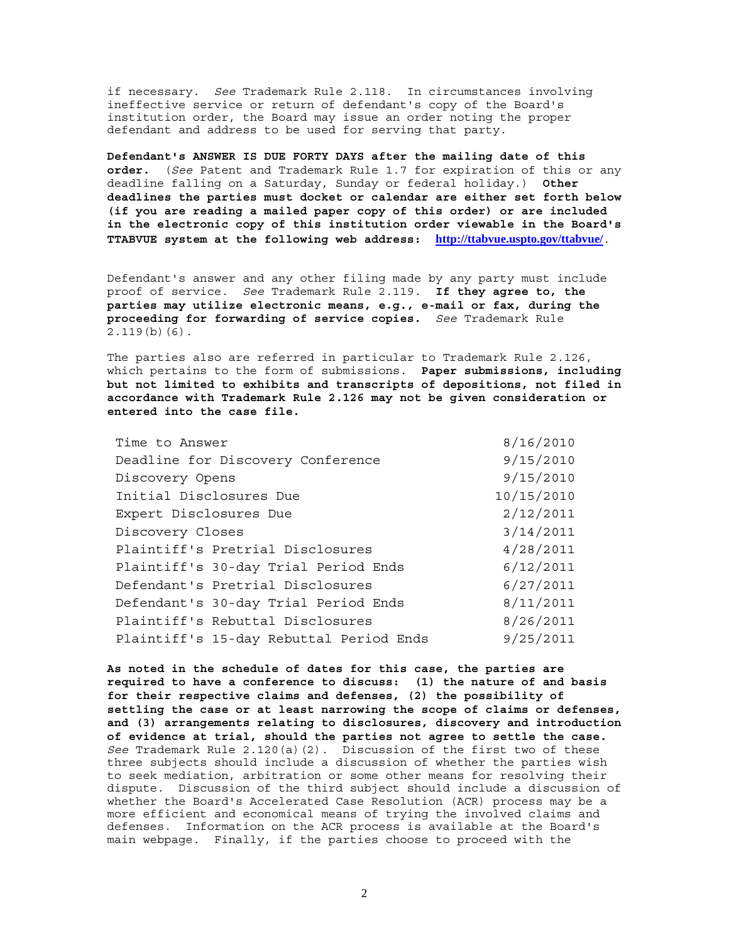if necessary. *See* Trademark Rule 2.118. In circumstances involving ineffective service or return of defendant's copy of the Board's institution order, the Board may issue an order noting the proper defendant and address to be used for serving that party.

**Defendant's ANSWER IS DUE FORTY DAYS after the mailing date of this order.** (*See* Patent and Trademark Rule 1.7 for expiration of this or any deadline falling on a Saturday, Sunday or federal holiday.) **Other deadlines the parties must docket or calendar are either set forth below (if you are reading a mailed paper copy of this order) or are included in the electronic copy of this institution order viewable in the Board's TTABVUE system at the following web address: http://ttabvue.uspto.gov/ttabvue/**.

Defendant's answer and any other filing made by any party must include proof of service. *See* Trademark Rule 2.119. **If they agree to, the parties may utilize electronic means, e.g., e-mail or fax, during the proceeding for forwarding of service copies.** *See* Trademark Rule 2.119(b)(6).

The parties also are referred in particular to Trademark Rule 2.126, which pertains to the form of submissions. **Paper submissions, including but not limited to exhibits and transcripts of depositions, not filed in accordance with Trademark Rule 2.126 may not be given consideration or entered into the case file.**

| 9/15/2010  |
|------------|
| 9/15/2010  |
| 10/15/2010 |
| 2/12/2011  |
| 3/14/2011  |
| 4/28/2011  |
| 6/12/2011  |
| 6/27/2011  |
| 8/11/2011  |
| 8/26/2011  |
| 9/25/2011  |
|            |

**As noted in the schedule of dates for this case, the parties are required to have a conference to discuss: (1) the nature of and basis for their respective claims and defenses, (2) the possibility of settling the case or at least narrowing the scope of claims or defenses, and (3) arrangements relating to disclosures, discovery and introduction of evidence at trial, should the parties not agree to settle the case.** *See* Trademark Rule 2.120(a)(2). Discussion of the first two of these three subjects should include a discussion of whether the parties wish to seek mediation, arbitration or some other means for resolving their dispute. Discussion of the third subject should include a discussion of whether the Board's Accelerated Case Resolution (ACR) process may be a more efficient and economical means of trying the involved claims and defenses. Information on the ACR process is available at the Board's main webpage. Finally, if the parties choose to proceed with the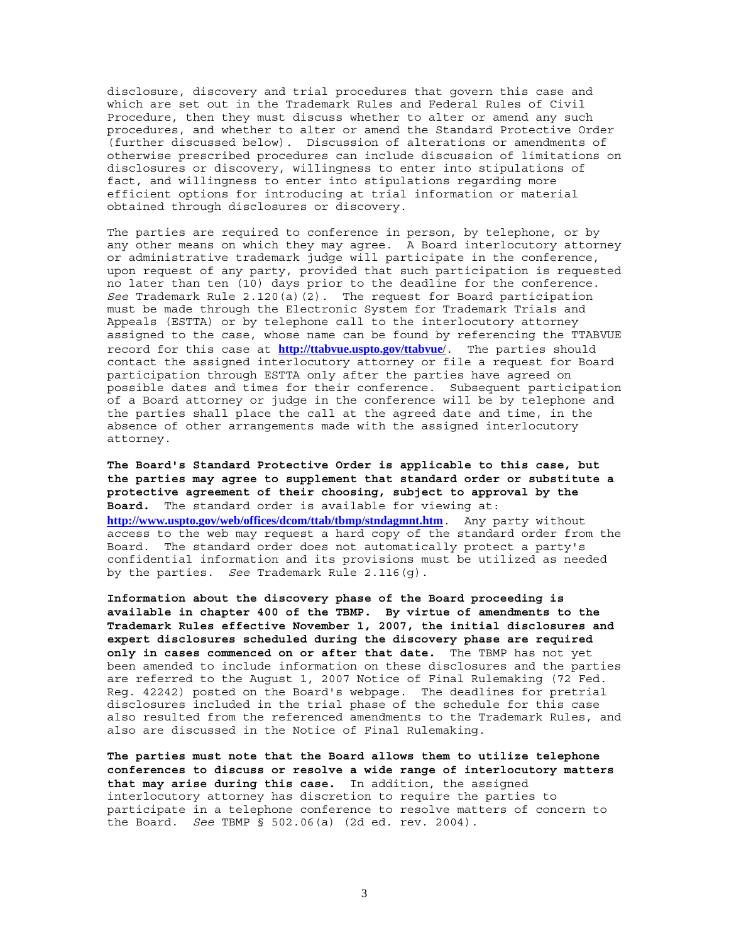disclosure, discovery and trial procedures that govern this case and which are set out in the Trademark Rules and Federal Rules of Civil Procedure, then they must discuss whether to alter or amend any such procedures, and whether to alter or amend the Standard Protective Order (further discussed below). Discussion of alterations or amendments of otherwise prescribed procedures can include discussion of limitations on disclosures or discovery, willingness to enter into stipulations of fact, and willingness to enter into stipulations regarding more efficient options for introducing at trial information or material obtained through disclosures or discovery.

The parties are required to conference in person, by telephone, or by any other means on which they may agree. A Board interlocutory attorney or administrative trademark judge will participate in the conference, upon request of any party, provided that such participation is requested no later than ten (10) days prior to the deadline for the conference. *See* Trademark Rule 2.120(a)(2). The request for Board participation must be made through the Electronic System for Trademark Trials and Appeals (ESTTA) or by telephone call to the interlocutory attorney assigned to the case, whose name can be found by referencing the TTABVUE record for this case at **http://ttabvue.uspto.gov/ttabvue**/. The parties should contact the assigned interlocutory attorney or file a request for Board participation through ESTTA only after the parties have agreed on possible dates and times for their conference. Subsequent participation of a Board attorney or judge in the conference will be by telephone and the parties shall place the call at the agreed date and time, in the absence of other arrangements made with the assigned interlocutory attorney.

**The Board's Standard Protective Order is applicable to this case, but the parties may agree to supplement that standard order or substitute a protective agreement of their choosing, subject to approval by the Board.** The standard order is available for viewing at: **http://www.uspto.gov/web/offices/dcom/ttab/tbmp/stndagmnt.htm**. Any party without access to the web may request a hard copy of the standard order from the Board. The standard order does not automatically protect a party's confidential information and its provisions must be utilized as needed by the parties. *See* Trademark Rule 2.116(g).

**Information about the discovery phase of the Board proceeding is available in chapter 400 of the TBMP. By virtue of amendments to the Trademark Rules effective November 1, 2007, the initial disclosures and expert disclosures scheduled during the discovery phase are required only in cases commenced on or after that date.** The TBMP has not yet been amended to include information on these disclosures and the parties are referred to the August 1, 2007 Notice of Final Rulemaking (72 Fed. Reg. 42242) posted on the Board's webpage. The deadlines for pretrial disclosures included in the trial phase of the schedule for this case also resulted from the referenced amendments to the Trademark Rules, and also are discussed in the Notice of Final Rulemaking.

**The parties must note that the Board allows them to utilize telephone conferences to discuss or resolve a wide range of interlocutory matters that may arise during this case.** In addition, the assigned interlocutory attorney has discretion to require the parties to participate in a telephone conference to resolve matters of concern to the Board. *See* TBMP § 502.06(a) (2d ed. rev. 2004).